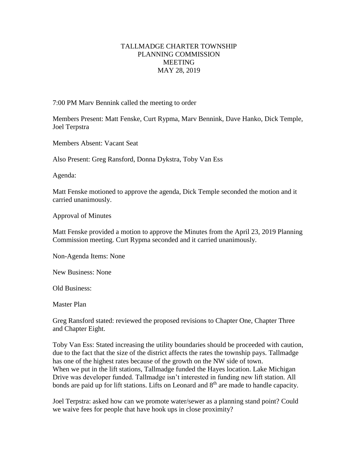## TALLMADGE CHARTER TOWNSHIP PLANNING COMMISSION MEETING MAY 28, 2019

7:00 PM Marv Bennink called the meeting to order

Members Present: Matt Fenske, Curt Rypma, Marv Bennink, Dave Hanko, Dick Temple, Joel Terpstra

Members Absent: Vacant Seat

Also Present: Greg Ransford, Donna Dykstra, Toby Van Ess

Agenda:

Matt Fenske motioned to approve the agenda, Dick Temple seconded the motion and it carried unanimously.

Approval of Minutes

Matt Fenske provided a motion to approve the Minutes from the April 23, 2019 Planning Commission meeting. Curt Rypma seconded and it carried unanimously.

Non-Agenda Items: None

New Business: None

Old Business:

Master Plan

Greg Ransford stated: reviewed the proposed revisions to Chapter One, Chapter Three and Chapter Eight.

Toby Van Ess: Stated increasing the utility boundaries should be proceeded with caution, due to the fact that the size of the district affects the rates the township pays. Tallmadge has one of the highest rates because of the growth on the NW side of town. When we put in the lift stations, Tallmadge funded the Hayes location. Lake Michigan Drive was developer funded. Tallmadge isn't interested in funding new lift station. All bonds are paid up for lift stations. Lifts on Leonard and  $8<sup>th</sup>$  are made to handle capacity.

Joel Terpstra: asked how can we promote water/sewer as a planning stand point? Could we waive fees for people that have hook ups in close proximity?